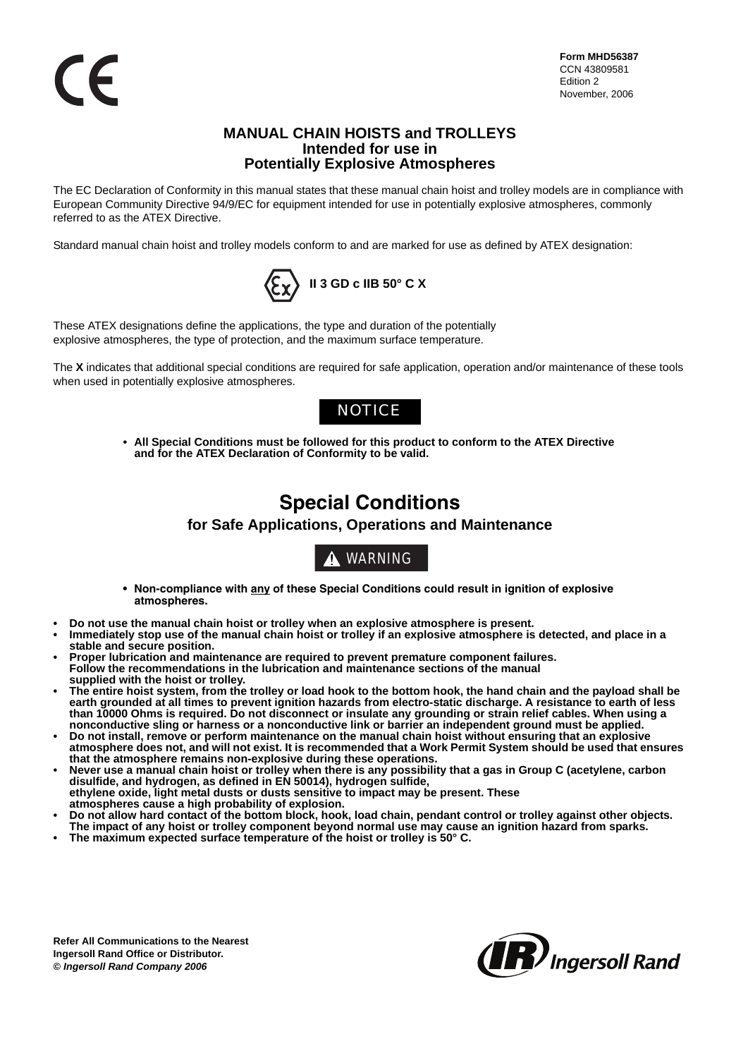### **MANUAL CHAIN HOISTS and TROLLEYS Intended for use in Potentially Explosive Atmospheres**

The EC Declaration of Conformity in this manual states that these manual chain hoist and trolley models are in compliance with European Community Directive 94/9/EC for equipment intended for use in potentially explosive atmospheres, commonly referred to as the ATEX Directive.

Standard manual chain hoist and trolley models conform to and are marked for use as defined by ATEX designation:



These ATEX designations define the applications, the type and duration of the potentially explosive atmospheres, the type of protection, and the maximum surface temperature.

The **X** indicates that additional special conditions are required for safe application, operation and/or maintenance of these tools when used in potentially explosive atmospheres.

## **NOTICE**

**• All Special Conditions must be followed for this product to conform to the ATEX Directive and for the ATEX Declaration of Conformity to be valid.** 

# **Special Conditions**

### **for Safe Applications, Operations and Maintenance**



- **Non-compliance with any of these Special Conditions could result in ignition of explosive atmospheres.**
- **Do not use the manual chain hoist or trolley when an explosive atmosphere is present.**
- **Immediately stop use of the manual chain hoist or trolley if an explosive atmosphere is detected, and place in a stable and secure position.**
- **Proper lubrication and maintenance are required to prevent premature component failures. Follow the recommendations in the lubrication and maintenance sections of the manual supplied with the hoist or trolley.**
- **The entire hoist system, from the trolley or load hook to the bottom hook, the hand chain and the payload shall be earth grounded at all times to prevent ignition hazards from electro-static discharge. A resistance to earth of less than 10000 Ohms is required. Do not disconnect or insulate any grounding or strain relief cables. When using a nonconductive sling or harness or a nonconductive link or barrier an independent ground must be applied.**
- **Do not install, remove or perform maintenance on the manual chain hoist without ensuring that an explosive atmosphere does not, and will not exist. It is recommended that a Work Permit System should be used that ensures that the atmosphere remains non-explosive during these operations.**
- **Never use a manual chain hoist or trolley when there is any possibility that a gas in Group C (acetylene, carbon disulfide, and hydrogen, as defined in EN 50014), hydrogen sulfide, ethylene oxide, light metal dusts or dusts sensitive to impact may be present. These**
- **atmospheres cause a high probability of explosion.**
- **Do not allow hard contact of the bottom block, hook, load chain, pendant control or trolley against other objects. The impact of any hoist or trolley component beyond normal use may cause an ignition hazard from sparks.**
- **The maximum expected surface temperature of the hoist or trolley is 50° C.**

**Refer All Communications to the Nearest Ingersoll Rand Office or Distributor. ©** *Ingersoll Rand Company 2006*

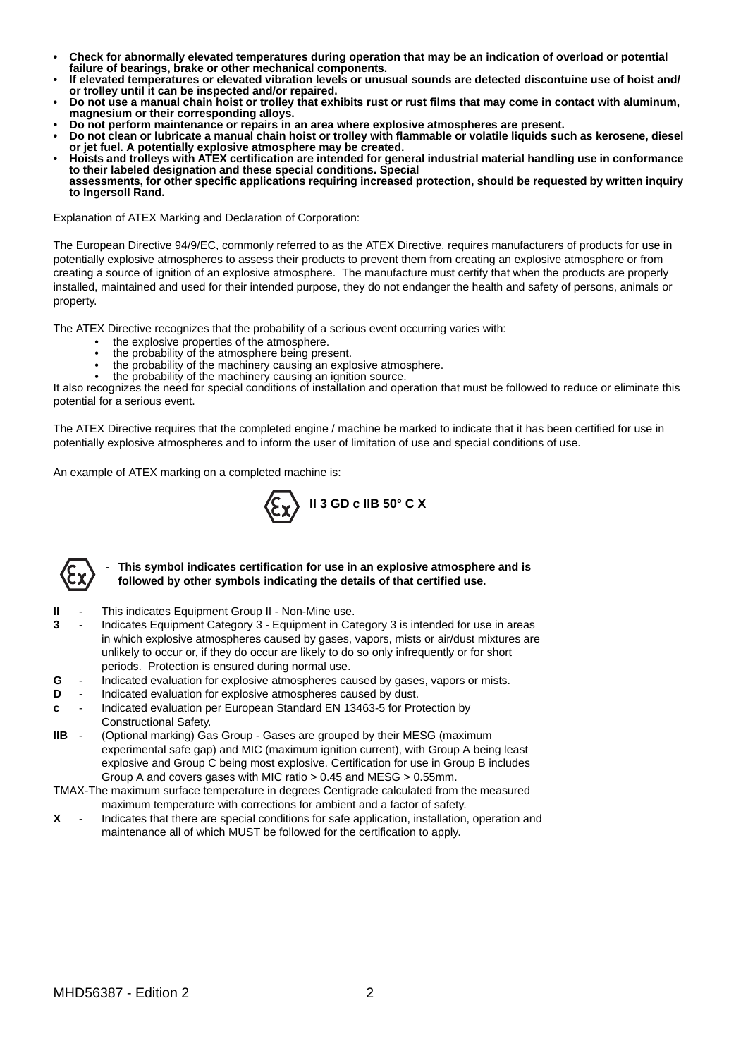- **Check for abnormally elevated temperatures during operation that may be an indication of overload or potential failure of bearings, brake or other mechanical components.**
- **If elevated temperatures or elevated vibration levels or unusual sounds are detected discontuine use of hoist and/ or trolley until it can be inspected and/or repaired.**
- **Do not use a manual chain hoist or trolley that exhibits rust or rust films that may come in contact with aluminum, magnesium or their corresponding alloys.**
- **Do not perform maintenance or repairs in an area where explosive atmospheres are present.**
- **Do not clean or lubricate a manual chain hoist or trolley with flammable or volatile liquids such as kerosene, diesel or jet fuel. A potentially explosive atmosphere may be created.**
- **Hoists and trolleys with ATEX certification are intended for general industrial material handling use in conformance to their labeled designation and these special conditions. Special**
- **assessments, for other specific applications requiring increased protection, should be requested by written inquiry to Ingersoll Rand.**

Explanation of ATEX Marking and Declaration of Corporation:

The European Directive 94/9/EC, commonly referred to as the ATEX Directive, requires manufacturers of products for use in potentially explosive atmospheres to assess their products to prevent them from creating an explosive atmosphere or from creating a source of ignition of an explosive atmosphere. The manufacture must certify that when the products are properly installed, maintained and used for their intended purpose, they do not endanger the health and safety of persons, animals or property.

The ATEX Directive recognizes that the probability of a serious event occurring varies with:

- the explosive properties of the atmosphere.
- the probability of the atmosphere being present.
- the probability of the machinery causing an explosive atmosphere.
- the probability of the machinery causing an ignition source.

It also recognizes the need for special conditions of installation and operation that must be followed to reduce or eliminate this potential for a serious event.

The ATEX Directive requires that the completed engine / machine be marked to indicate that it has been certified for use in potentially explosive atmospheres and to inform the user of limitation of use and special conditions of use.

An example of ATEX marking on a completed machine is:





#### - **This symbol indicates certification for use in an explosive atmosphere and is followed by other symbols indicating the details of that certified use.**

- **II** This indicates Equipment Group II Non-Mine use.
- **3** Indicates Equipment Category 3 Equipment in Category 3 is intended for use in areas in which explosive atmospheres caused by gases, vapors, mists or air/dust mixtures are unlikely to occur or, if they do occur are likely to do so only infrequently or for short periods. Protection is ensured during normal use.
- **G** Indicated evaluation for explosive atmospheres caused by gases, vapors or mists.
- **D** Indicated evaluation for explosive atmospheres caused by dust.
- **c** Indicated evaluation per European Standard EN 13463-5 for Protection by Constructional Safety.
- **IIB** (Optional marking) Gas Group Gases are grouped by their MESG (maximum experimental safe gap) and MIC (maximum ignition current), with Group A being least explosive and Group C being most explosive. Certification for use in Group B includes Group A and covers gases with MIC ratio > 0.45 and MESG > 0.55mm.
- TMAX-The maximum surface temperature in degrees Centigrade calculated from the measured maximum temperature with corrections for ambient and a factor of safety.
- **X** Indicates that there are special conditions for safe application, installation, operation and maintenance all of which MUST be followed for the certification to apply.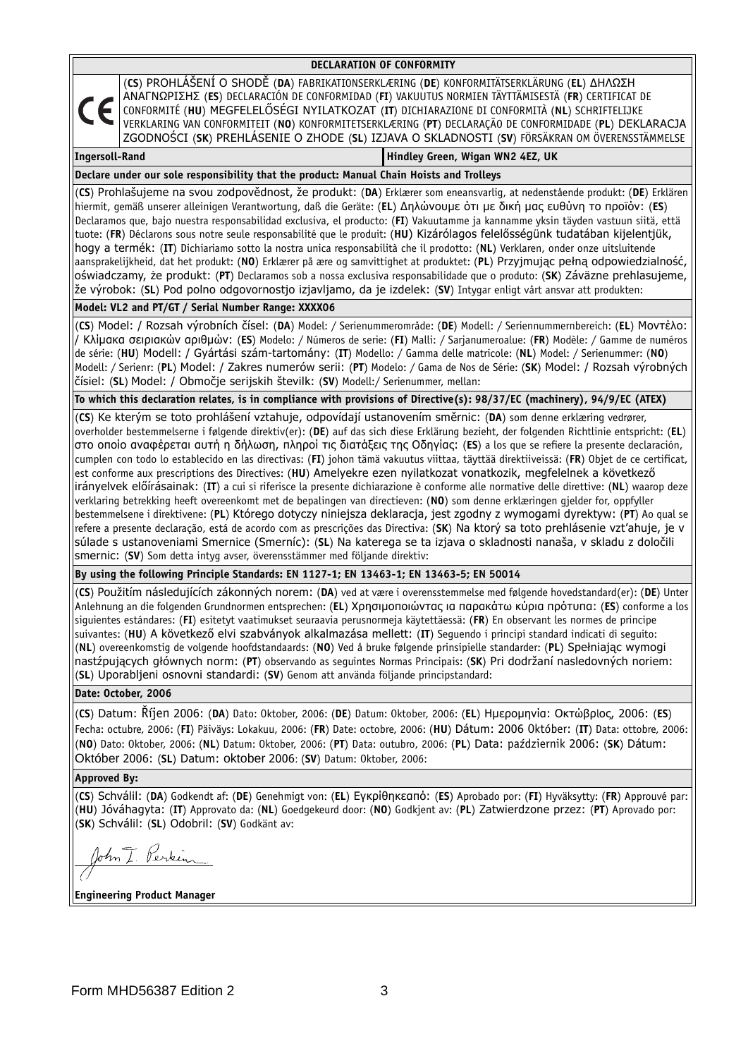| DECLARATION OF CONFORMITY                                                                                                                                                                                                                                                                                                                                                                                                                                                                                                                                                                                                                                                                                                                                                                                                                                                                                                                                                                                                                                                                                                                                                                                                                                                                                                                                                                             |
|-------------------------------------------------------------------------------------------------------------------------------------------------------------------------------------------------------------------------------------------------------------------------------------------------------------------------------------------------------------------------------------------------------------------------------------------------------------------------------------------------------------------------------------------------------------------------------------------------------------------------------------------------------------------------------------------------------------------------------------------------------------------------------------------------------------------------------------------------------------------------------------------------------------------------------------------------------------------------------------------------------------------------------------------------------------------------------------------------------------------------------------------------------------------------------------------------------------------------------------------------------------------------------------------------------------------------------------------------------------------------------------------------------|
| (CS) PROHLÁŠENÍ O SHODĚ (DA) FABRIKATIONSERKLÆRING (DE) KONFORMITÄTSERKLÄRUNG (EL) ΔΗΛΩΣΗ<br>ANAΓNΩPIΣHΣ (ES) DECLARACIÓN DE CONFORMIDAD (FI) VAKUUTUS NORMIEN TÄYTTÄMISESTÄ (FR) CERTIFICAT DE<br>CE<br>CONFORMITÉ (HU) MEGFELELŐSÉGI NYILATKOZAT (IT) DICHIARAZIONE DI CONFORMITÀ (NL) SCHRIFTELIJKE<br>VERKLARING VAN CONFORMITEIT (NO) KONFORMITETSERKLÆRING (PT) DECLARAÇÃO DE CONFORMIDADE (PL) DEKLARACJA<br>ZGODNOŚCI (SK) PREHLÁSENIE O ZHODE (SL) IZJAVA O SKLADNOSTI (SV) FÖRSÄKRAN OM ÖVERENSSTÄMMELSE                                                                                                                                                                                                                                                                                                                                                                                                                                                                                                                                                                                                                                                                                                                                                                                                                                                                                    |
| <b>Ingersoll-Rand</b><br>Hindley Green, Wigan WN2 4EZ, UK                                                                                                                                                                                                                                                                                                                                                                                                                                                                                                                                                                                                                                                                                                                                                                                                                                                                                                                                                                                                                                                                                                                                                                                                                                                                                                                                             |
| Declare under our sole responsibility that the product: Manual Chain Hoists and Trolleys                                                                                                                                                                                                                                                                                                                                                                                                                                                                                                                                                                                                                                                                                                                                                                                                                                                                                                                                                                                                                                                                                                                                                                                                                                                                                                              |
| (CS) Prohlašujeme na svou zodpovědnost, že produkt: (DA) Erklærer som eneansvarlig, at nedenstående produkt: (DE) Erklären<br>hiermit, gemäß unserer alleinigen Verantwortung, daß die Geräte: (EL) Δηλώνουμε ότι με δική μας ευθύνη το προϊόν: (ES)<br>Declaramos que, bajo nuestra responsabilidad exclusiva, el producto: (FI) Vakuutamme ja kannamme yksin täyden vastuun siitä, että<br>tuote: (FR) Déclarons sous notre seule responsabilité que le produit: (HU) Kizárólagos felelősségünk tudatában kijelentjük,<br>hogy a termék: (IT) Dichiariamo sotto la nostra unica responsabilità che il prodotto: (NL) Verklaren, onder onze uitsluitende<br>aansprakelijkheid, dat het produkt: (NO) Erklærer på ære og samvittighet at produktet: (PL) Przyjmując pełną odpowiedzialność,<br>oświadczamy, że produkt: (PT) Declaramos sob a nossa exclusiva responsabilidade que o produto: (SK) Záväzne prehlasujeme,<br>že výrobok: (SL) Pod polno odgovornostjo izjavljamo, da je izdelek: (SV) Intygar enligt vårt ansvar att produkten:                                                                                                                                                                                                                                                                                                                                                        |
| Model: VL2 and PT/GT / Serial Number Range: XXXX06                                                                                                                                                                                                                                                                                                                                                                                                                                                                                                                                                                                                                                                                                                                                                                                                                                                                                                                                                                                                                                                                                                                                                                                                                                                                                                                                                    |
| (CS) Model: / Rozsah výrobních čísel: (DA) Model: / Serienummerområde: (DE) Modell: / Seriennummernbereich: (EL) Movrtoo:<br> / Κλίμακα σειριακών αριθμών: (ES) Modelo: / Números de serie: (FI) Malli: / Sarjanumeroalue: (FR) Modèle: / Gamme de numéros<br>de série: (HU) Modell: / Gyártási szám-tartomány: (IT) Modello: / Gamma delle matricole: (NL) Model: / Serienummer: (NO)<br>Modell: / Serienr: (PL) Model: / Zakres numerów serii: (PT) Modelo: / Gama de Nos de Série: (SK) Model: / Rozsah výrobných<br>čísiel: (SL) Model: / Območje serijskih številk: (SV) Modell:/ Serienummer, mellan:                                                                                                                                                                                                                                                                                                                                                                                                                                                                                                                                                                                                                                                                                                                                                                                           |
| To which this declaration relates, is in compliance with provisions of Directive(s): 98/37/EC (machinery), 94/9/EC (ATEX)                                                                                                                                                                                                                                                                                                                                                                                                                                                                                                                                                                                                                                                                                                                                                                                                                                                                                                                                                                                                                                                                                                                                                                                                                                                                             |
| (CS) Ke kterým se toto prohlášení vztahuje, odpovídají ustanovením směrnic: (DA) som denne erklæring vedrører,<br>overholder bestemmelserne i følgende direktiv(er): (DE) auf das sich diese Erklärung bezieht, der folgenden Richtlinie entspricht: (EL)<br>στο οποίο αναφέρεται αυτή η δήλωση, πληροί τις διατάξεις της Οδηγίας: (ES) a los que se refiere la presente declaración,<br>cumplen con todo lo establecido en las directivas: (FI) johon tämä vakuutus viittaa, täyttää direktiiveissä: (FR) Objet de ce certificat,<br>est conforme aux prescriptions des Directives: (HU) Amelyekre ezen nyilatkozat vonatkozik, megfelelnek a következő<br>irányelvek előírásainak: (IT) a cui si riferisce la presente dichiarazione è conforme alle normative delle direttive: (NL) waarop deze<br>verklaring betrekking heeft overeenkomt met de bepalingen van directieven: (NO) som denne erklæringen gjelder for, oppfyller<br>bestemmelsene i direktivene: (PL) Którego dotyczy niniejsza deklaracja, jest zgodny z wymogami dyrektyw: (PT) Ao qual se<br>refere a presente declaração, está de acordo com as prescrições das Directiva: (SK) Na ktorý sa toto prehlásenie vzt'ahuje, je v<br>súlade s ustanoveniami Smernice (Smerníc): (SL) Na katerega se ta izjava o skladnosti nanaša, v skladu z določili<br>Smernic: (SV) Som detta intyg avser, överensstämmer med följande direktiv: |
| By using the following Principle Standards: EN 1127-1; EN 13463-1; EN 13463-5; EN 50014                                                                                                                                                                                                                                                                                                                                                                                                                                                                                                                                                                                                                                                                                                                                                                                                                                                                                                                                                                                                                                                                                                                                                                                                                                                                                                               |
| (CS) Použitím následujících zákonných norem: (DA) ved at være i overensstemmelse med følgende hovedstandard(er): (DE) Unter<br>  Anlehnung an die folgenden Grundnormen entsprechen: (EL) Χρησιμοποιώντας ια παρακάτω κύρια πρότυπα: (ES) conforme a los<br>siguientes estándares: (FI) esitetyt vaatimukset seuraavia perusnormeja käytettäessä: (FR) En observant les normes de principe<br>suivantes: (HU) A következő elvi szabványok alkalmazása mellett: (IT) Seguendo i principi standard indicati di seguito:<br>(NL) overeenkomstig de volgende hoofdstandaards: (NO) Ved å bruke følgende prinsipielle standarder: (PL) Spełniając wymogi<br>nastźpujących głównych norm: (PT) observando as seguintes Normas Principais: (SK) Pri dodržaní nasledovných noriem:<br>(SL) Uporabljeni osnovni standardi: (SV) Genom att använda följande principstandard:                                                                                                                                                                                                                                                                                                                                                                                                                                                                                                                                    |
| Date: October, 2006                                                                                                                                                                                                                                                                                                                                                                                                                                                                                                                                                                                                                                                                                                                                                                                                                                                                                                                                                                                                                                                                                                                                                                                                                                                                                                                                                                                   |
| (CS) Datum: Rτjen 2006: (DA) Dato: 0ktober, 2006: (DE) Datum: 0ktober, 2006: (EL) Ημερομηνία: Οκτώβρίος, 2006: (ES)<br>Fecha: octubre, 2006: (FI) Päiväys: Lokakuu, 2006: (FR) Date: octobre, 2006: (HU) Dátum: 2006 Október: (IT) Data: ottobre, 2006:<br>(NO) Dato: Oktober, 2006: (NL) Datum: Oktober, 2006: (PT) Data: outubro, 2006: (PL) Data: październik 2006: (SK) Dátum:<br>Október 2006: (SL) Datum: oktober 2006: (SV) Datum: 0ktober, 2006:                                                                                                                                                                                                                                                                                                                                                                                                                                                                                                                                                                                                                                                                                                                                                                                                                                                                                                                                              |
| <b>Approved By:</b>                                                                                                                                                                                                                                                                                                                                                                                                                                                                                                                                                                                                                                                                                                                                                                                                                                                                                                                                                                                                                                                                                                                                                                                                                                                                                                                                                                                   |
| (CS) Schválil: (DA) Godkendt af: (DE) Genehmigt von: (EL) Εγκρίθηκεαπό: (ES) Aprobado por: (FI) Hyväksytty: (FR) Approuvé par:<br>(HU) Jóváhagyta: (IT) Approvato da: (NL) Goedgekeurd door: (NO) Godkjent av: (PL) Zatwierdzone przez: (PT) Aprovado por:<br>(SK) Schválil: (SL) Odobril: (SV) Godkänt av:<br>John I. Perkin                                                                                                                                                                                                                                                                                                                                                                                                                                                                                                                                                                                                                                                                                                                                                                                                                                                                                                                                                                                                                                                                         |
| <b>Engineering Product Manager</b>                                                                                                                                                                                                                                                                                                                                                                                                                                                                                                                                                                                                                                                                                                                                                                                                                                                                                                                                                                                                                                                                                                                                                                                                                                                                                                                                                                    |